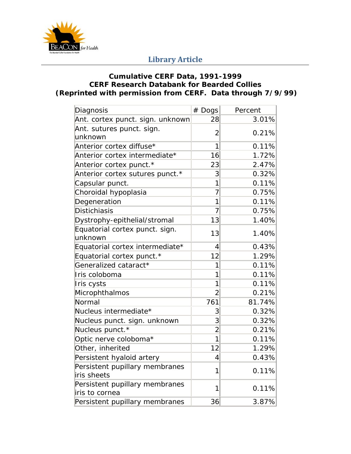

## **Library Article**

## **Cumulative CERF Data, 1991-1999 CERF Research Databank for Bearded Collies (Reprinted with permission from CERF. Data through 7/9/99)**

| Diagnosis                        | # Dogs         | Percent |
|----------------------------------|----------------|---------|
| Ant. cortex punct. sign. unknown | 28             | 3.01%   |
| Ant. sutures punct. sign.        | $\overline{2}$ | 0.21%   |
| unknown                          |                |         |
| Anterior cortex diffuse*         | 1              | 0.11%   |
| Anterior cortex intermediate*    | 16             | 1.72%   |
| Anterior cortex punct.*          | 23             | 2.47%   |
| Anterior cortex sutures punct.*  | 3              | 0.32%   |
| Capsular punct.                  | 1              | 0.11%   |
| Choroidal hypoplasia             | $\overline{7}$ | 0.75%   |
| Degeneration                     | 1              | 0.11%   |
| <b>Distichiasis</b>              | $\overline{7}$ | 0.75%   |
| Dystrophy-epithelial/stromal     | 13             | 1.40%   |
| Equatorial cortex punct. sign.   | 13             | 1.40%   |
| unknown                          |                |         |
| Equatorial cortex intermediate*  | 4              | 0.43%   |
| Equatorial cortex punct.*        | 12             | 1.29%   |
| Generalized cataract*            | 1              | 0.11%   |
| Iris coloboma                    | 1              | 0.11%   |
| Iris cysts                       | 1              | 0.11%   |
| Microphthalmos                   | $\overline{2}$ | 0.21%   |
| Normal                           | 761            | 81.74%  |
| Nucleus intermediate*            | 3              | 0.32%   |
| Nucleus punct. sign. unknown     | $\overline{3}$ | 0.32%   |
| Nucleus punct.*                  | $\overline{2}$ | 0.21%   |
| Optic nerve coloboma*            | 1              | 0.11%   |
| Other, inherited                 | 12             | 1.29%   |
| Persistent hyaloid artery        | 4              | 0.43%   |
| Persistent pupillary membranes   | 1              | 0.11%   |
| iris sheets                      |                |         |
| Persistent pupillary membranes   | 1              | 0.11%   |
| iris to cornea                   |                |         |
| Persistent pupillary membranes   | 36             | 3.87%   |